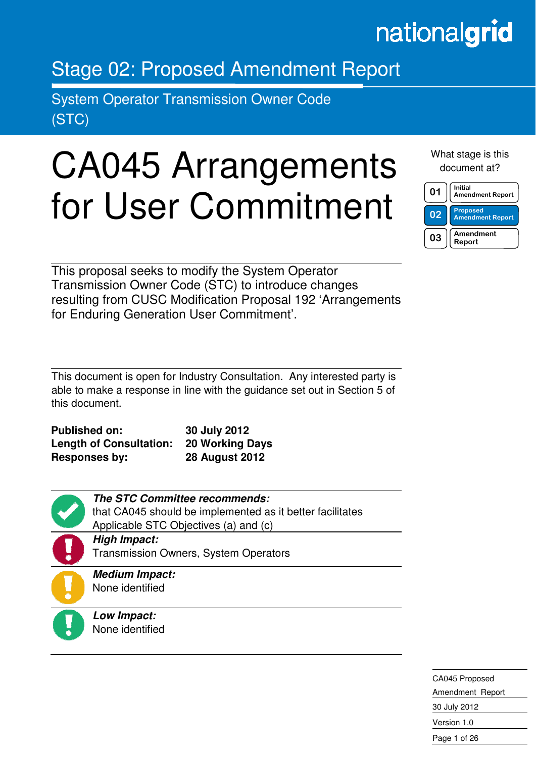## nationalgrid

### Stage 02: Proposed Amendment Report

System Operator Transmission Owner Code (STC)

in the contract of the contract of the contract of the contract of the contract of the contract of the contract of the contract of the contract of the contract of the contract of the contract of the contract of the contrac

# CA045 Arrangements for User Commitment

What stage is this document at?

| በ1 | Initial<br><b>Amendment Report</b>         |
|----|--------------------------------------------|
| 02 | <b>Proposed</b><br><b>Amendment Report</b> |
| 03 | Amendment<br>Report                        |

This proposal seeks to modify the System Operator Transmission Owner Code (STC) to introduce changes resulting from CUSC Modification Proposal 192 'Arrangements for Enduring Generation User Commitment'.

This document is open for Industry Consultation. Any interested party is able to make a response in line with the guidance set out in Section 5 of this document.

| <b>Published on:</b>           | 30 July 2012           |
|--------------------------------|------------------------|
| <b>Length of Consultation:</b> | <b>20 Working Days</b> |
| <b>Responses by:</b>           | <b>28 August 2012</b>  |

| <b>The STC Committee recommends:</b>                      |
|-----------------------------------------------------------|
| that CA045 should be implemented as it better facilitates |
| Applicable STC Objectives (a) and (c)                     |
| <b>High Impact:</b>                                       |
| <b>Transmission Owners, System Operators</b>              |
| <b>Medium Impact:</b>                                     |
| None identified                                           |
|                                                           |
| Low Impact:                                               |
| None identified                                           |

CA045 Proposed Amendment Report 30 July 2012 Version 1.0 Page 1 of 26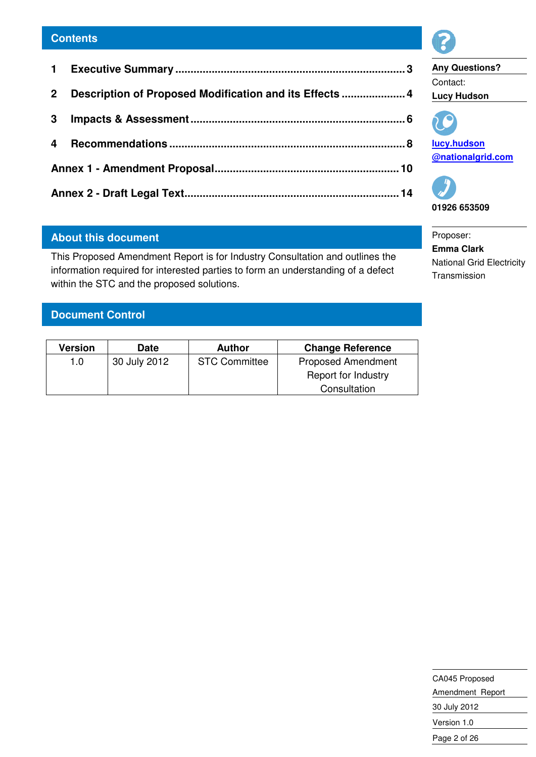| 2 <sup>1</sup> | Description of Proposed Modification and its Effects  4 |  |
|----------------|---------------------------------------------------------|--|
|                |                                                         |  |
|                |                                                         |  |
|                |                                                         |  |
|                |                                                         |  |

#### **About this document**

This Proposed Amendment Report is for Industry Consultation and outlines the information required for interested parties to form an understanding of a defect within the STC and the proposed solutions.

#### **Document Control**

| Version | Date         | Author               | <b>Change Reference</b>   |
|---------|--------------|----------------------|---------------------------|
| 1.0     | 30 July 2012 | <b>STC Committee</b> | <b>Proposed Amendment</b> |
|         |              |                      | Report for Industry       |
|         |              |                      | Consultation              |



**Any Questions?**  Contact: **Lucy Hudson** 



**lucy.hudson @nationalgrid.com** 



Proposer: **Emma Clark**  National Grid Electricity Transmission

CA045 Proposed Amendment Report 30 July 2012 Version 1.0 Page 2 of 26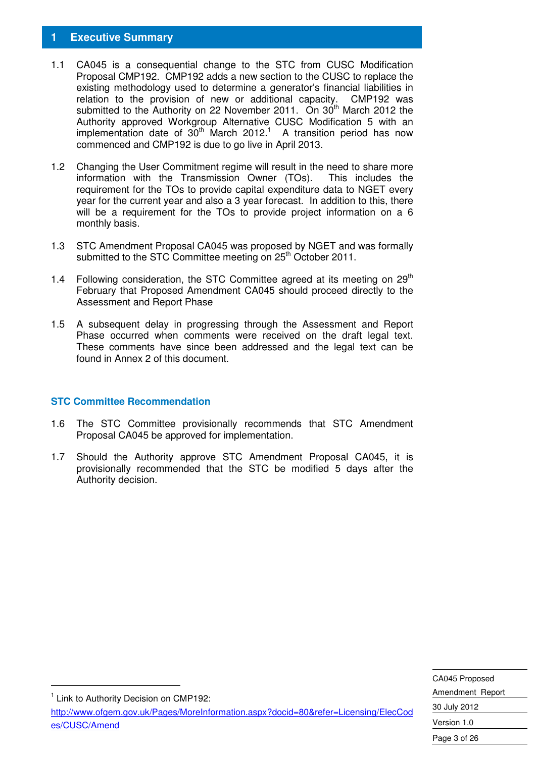#### **1 Executive Summary**

- 1.1 CA045 is a consequential change to the STC from CUSC Modification Proposal CMP192. CMP192 adds a new section to the CUSC to replace the existing methodology used to determine a generator's financial liabilities in relation to the provision of new or additional capacity. CMP192 was submitted to the Authority on 22 November 2011. On 30<sup>th</sup> March 2012 the Authority approved Workgroup Alternative CUSC Modification 5 with an implementation date of  $30<sup>th</sup>$  March 2012.<sup>1</sup> A transition period has now commenced and CMP192 is due to go live in April 2013.
- 1.2 Changing the User Commitment regime will result in the need to share more information with the Transmission Owner (TOs). This includes the requirement for the TOs to provide capital expenditure data to NGET every year for the current year and also a 3 year forecast. In addition to this, there will be a requirement for the TOs to provide project information on a 6 monthly basis.
- 1.3 STC Amendment Proposal CA045 was proposed by NGET and was formally submitted to the STC Committee meeting on 25<sup>th</sup> October 2011.
- 1.4 Following consideration, the STC Committee agreed at its meeting on  $29<sup>th</sup>$ February that Proposed Amendment CA045 should proceed directly to the Assessment and Report Phase
- 1.5 A subsequent delay in progressing through the Assessment and Report Phase occurred when comments were received on the draft legal text. These comments have since been addressed and the legal text can be found in Annex 2 of this document.

#### **STC Committee Recommendation**

- 1.6 The STC Committee provisionally recommends that STC Amendment Proposal CA045 be approved for implementation.
- 1.7 Should the Authority approve STC Amendment Proposal CA045, it is provisionally recommended that the STC be modified 5 days after the Authority decision.

| CA045 Proposed   |  |  |
|------------------|--|--|
| Amendment Report |  |  |
| 30 July 2012     |  |  |
| Version 1.0      |  |  |
| Page 3 of 26     |  |  |

<sup>1</sup> Link to Authority Decision on CMP192:

-

http://www.ofgem.gov.uk/Pages/MoreInformation.aspx?docid=80&refer=Licensing/ElecCod es/CUSC/Amend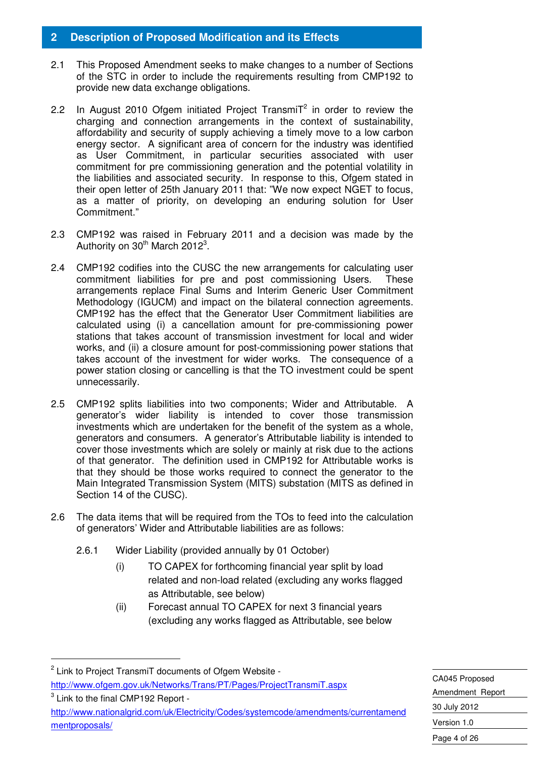#### **2 Description of Proposed Modification and its Effects**

- 2.1 This Proposed Amendment seeks to make changes to a number of Sections of the STC in order to include the requirements resulting from CMP192 to provide new data exchange obligations.
- 2.2 In August 2010 Ofgem initiated Project Transmi $T^2$  in order to review the charging and connection arrangements in the context of sustainability, affordability and security of supply achieving a timely move to a low carbon energy sector. A significant area of concern for the industry was identified as User Commitment, in particular securities associated with user commitment for pre commissioning generation and the potential volatility in the liabilities and associated security. In response to this, Ofgem stated in their open letter of 25th January 2011 that: "We now expect NGET to focus, as a matter of priority, on developing an enduring solution for User Commitment."
- 2.3 CMP192 was raised in February 2011 and a decision was made by the Authority on  $30<sup>th</sup>$  March 2012<sup>3</sup>.
- 2.4 CMP192 codifies into the CUSC the new arrangements for calculating user commitment liabilities for pre and post commissioning Users. These arrangements replace Final Sums and Interim Generic User Commitment Methodology (IGUCM) and impact on the bilateral connection agreements. CMP192 has the effect that the Generator User Commitment liabilities are calculated using (i) a cancellation amount for pre-commissioning power stations that takes account of transmission investment for local and wider works, and (ii) a closure amount for post-commissioning power stations that takes account of the investment for wider works. The consequence of a power station closing or cancelling is that the TO investment could be spent unnecessarily.
- 2.5 CMP192 splits liabilities into two components; Wider and Attributable. A generator's wider liability is intended to cover those transmission investments which are undertaken for the benefit of the system as a whole, generators and consumers. A generator's Attributable liability is intended to cover those investments which are solely or mainly at risk due to the actions of that generator. The definition used in CMP192 for Attributable works is that they should be those works required to connect the generator to the Main Integrated Transmission System (MITS) substation (MITS as defined in Section 14 of the CUSC).
- 2.6 The data items that will be required from the TOs to feed into the calculation of generators' Wider and Attributable liabilities are as follows:
	- 2.6.1 Wider Liability (provided annually by 01 October)
		- (i) TO CAPEX for forthcoming financial year split by load related and non-load related (excluding any works flagged as Attributable, see below)
		- (ii) Forecast annual TO CAPEX for next 3 financial years (excluding any works flagged as Attributable, see below

-

 $3$  Link to the final CMP192 Report http://www.nationalgrid.com/uk/Electricity/Codes/systemcode/amendments/currentamend mentproposals/

CA045 Proposed Amendment Report 30 July 2012 Version 1.0 Page 4 of 26

<sup>&</sup>lt;sup>2</sup> Link to Project TransmiT documents of Ofgem Website http://www.ofgem.gov.uk/Networks/Trans/PT/Pages/ProjectTransmiT.aspx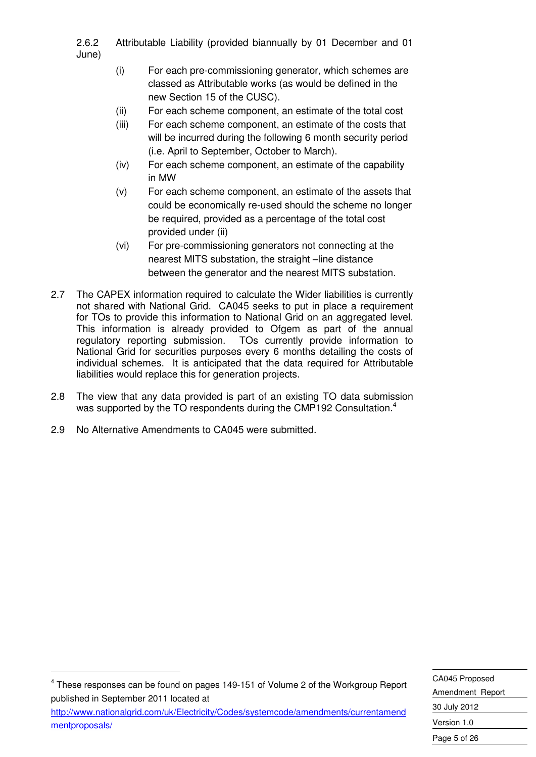2.6.2 Attributable Liability (provided biannually by 01 December and 01 June)

- (i) For each pre-commissioning generator, which schemes are classed as Attributable works (as would be defined in the new Section 15 of the CUSC).
- (ii) For each scheme component, an estimate of the total cost
- (iii) For each scheme component, an estimate of the costs that will be incurred during the following 6 month security period (i.e. April to September, October to March).
- (iv) For each scheme component, an estimate of the capability in MW
- (v) For each scheme component, an estimate of the assets that could be economically re-used should the scheme no longer be required, provided as a percentage of the total cost provided under (ii)
- (vi) For pre-commissioning generators not connecting at the nearest MITS substation, the straight –line distance between the generator and the nearest MITS substation.
- 2.7 The CAPEX information required to calculate the Wider liabilities is currently not shared with National Grid. CA045 seeks to put in place a requirement for TOs to provide this information to National Grid on an aggregated level. This information is already provided to Ofgem as part of the annual regulatory reporting submission. TOs currently provide information to National Grid for securities purposes every 6 months detailing the costs of individual schemes. It is anticipated that the data required for Attributable liabilities would replace this for generation projects.
- 2.8 The view that any data provided is part of an existing TO data submission was supported by the TO respondents during the CMP192 Consultation.<sup>4</sup>
- 2.9 No Alternative Amendments to CA045 were submitted.

-

 $4$  These responses can be found on pages 149-151 of Volume 2 of the Workgroup Report published in September 2011 located at

http://www.nationalgrid.com/uk/Electricity/Codes/systemcode/amendments/currentamend mentproposals/

CA045 Proposed Amendment Report 30 July 2012 Version 1.0 Page 5 of 26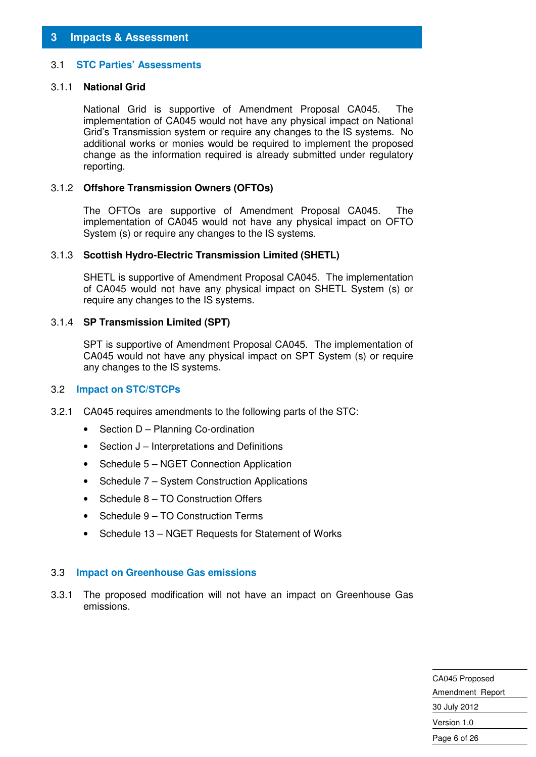#### 3.1 **STC Parties' Assessments**

#### 3.1.1 **National Grid**

National Grid is supportive of Amendment Proposal CA045. The implementation of CA045 would not have any physical impact on National Grid's Transmission system or require any changes to the IS systems. No additional works or monies would be required to implement the proposed change as the information required is already submitted under regulatory reporting.

#### 3.1.2 **Offshore Transmission Owners (OFTOs)**

The OFTOs are supportive of Amendment Proposal CA045. The implementation of CA045 would not have any physical impact on OFTO System (s) or require any changes to the IS systems.

#### 3.1.3 **Scottish Hydro-Electric Transmission Limited (SHETL)**

SHETL is supportive of Amendment Proposal CA045. The implementation of CA045 would not have any physical impact on SHETL System (s) or require any changes to the IS systems.

#### 3.1.4 **SP Transmission Limited (SPT)**

SPT is supportive of Amendment Proposal CA045. The implementation of CA045 would not have any physical impact on SPT System (s) or require any changes to the IS systems.

#### 3.2 **Impact on STC/STCPs**

- 3.2.1 CA045 requires amendments to the following parts of the STC:
	- Section D Planning Co-ordination
	- Section J Interpretations and Definitions
	- Schedule 5 NGET Connection Application
	- Schedule 7 System Construction Applications
	- Schedule 8 TO Construction Offers
	- Schedule 9 TO Construction Terms
	- Schedule 13 NGET Requests for Statement of Works

#### 3.3 **Impact on Greenhouse Gas emissions**

3.3.1 The proposed modification will not have an impact on Greenhouse Gas emissions.

> CA045 Proposed Amendment Report 30 July 2012 Version 1.0 Page 6 of 26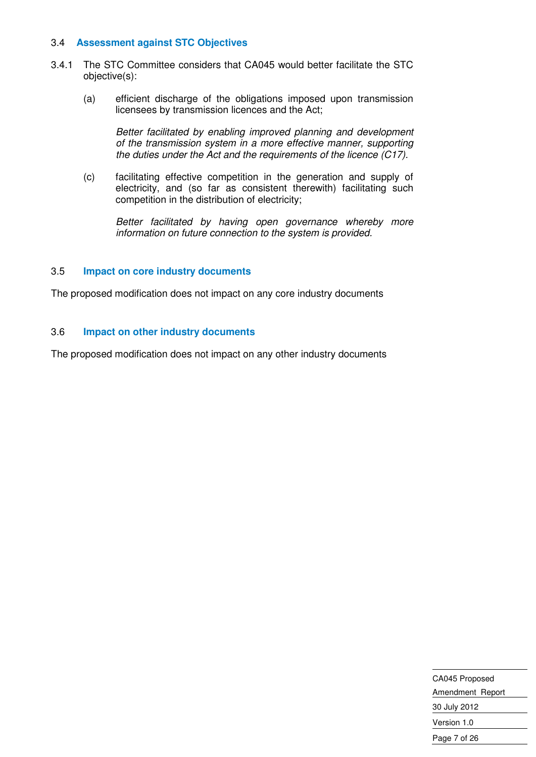#### 3.4 **Assessment against STC Objectives**

- 3.4.1 The STC Committee considers that CA045 would better facilitate the STC objective(s):
	- (a) efficient discharge of the obligations imposed upon transmission licensees by transmission licences and the Act;

Better facilitated by enabling improved planning and development of the transmission system in a more effective manner, supporting the duties under the Act and the requirements of the licence  $(C17)$ .

(c) facilitating effective competition in the generation and supply of electricity, and (so far as consistent therewith) facilitating such competition in the distribution of electricity;

Better facilitated by having open governance whereby more information on future connection to the system is provided.

#### 3.5 **Impact on core industry documents**

The proposed modification does not impact on any core industry documents

#### 3.6 **Impact on other industry documents**

The proposed modification does not impact on any other industry documents

| CA045 Proposed   |
|------------------|
| Amendment Report |
| 30 July 2012     |
| Version 1.0      |
| Page 7 of 26     |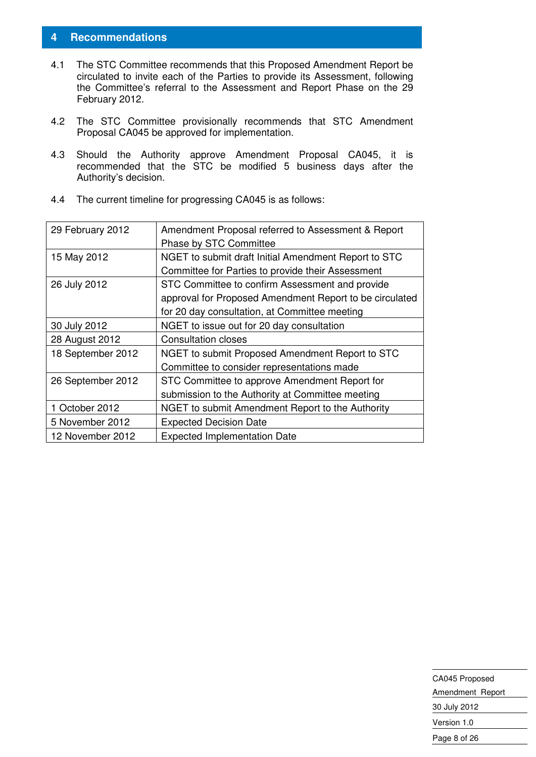#### **4 Recommendations**

- 4.1 The STC Committee recommends that this Proposed Amendment Report be circulated to invite each of the Parties to provide its Assessment, following the Committee's referral to the Assessment and Report Phase on the 29 February 2012.
- 4.2 The STC Committee provisionally recommends that STC Amendment Proposal CA045 be approved for implementation.
- 4.3 Should the Authority approve Amendment Proposal CA045, it is recommended that the STC be modified 5 business days after the Authority's decision.

| 29 February 2012  | Amendment Proposal referred to Assessment & Report      |  |
|-------------------|---------------------------------------------------------|--|
|                   | Phase by STC Committee                                  |  |
| 15 May 2012       | NGET to submit draft Initial Amendment Report to STC    |  |
|                   | Committee for Parties to provide their Assessment       |  |
| 26 July 2012      | STC Committee to confirm Assessment and provide         |  |
|                   | approval for Proposed Amendment Report to be circulated |  |
|                   | for 20 day consultation, at Committee meeting           |  |
| 30 July 2012      | NGET to issue out for 20 day consultation               |  |
| 28 August 2012    | <b>Consultation closes</b>                              |  |
| 18 September 2012 | NGET to submit Proposed Amendment Report to STC         |  |
|                   | Committee to consider representations made              |  |
| 26 September 2012 | STC Committee to approve Amendment Report for           |  |
|                   | submission to the Authority at Committee meeting        |  |
| 1 October 2012    | NGET to submit Amendment Report to the Authority        |  |
| 5 November 2012   | <b>Expected Decision Date</b>                           |  |
| 12 November 2012  | <b>Expected Implementation Date</b>                     |  |

4.4 The current timeline for progressing CA045 is as follows:

| CA045 Proposed   |  |  |
|------------------|--|--|
| Amendment Report |  |  |
| 30 July 2012     |  |  |
| Version 1.0      |  |  |
| Page 8 of 26     |  |  |
|                  |  |  |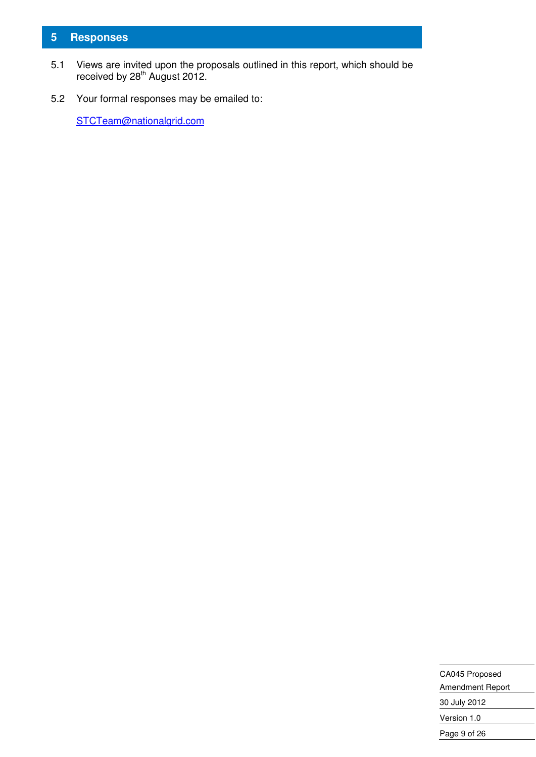#### **5 Responses**

- 5.1 Views are invited upon the proposals outlined in this report, which should be received by  $28<sup>th</sup>$  August 2012.
- 5.2 Your formal responses may be emailed to:

STCTeam@nationalgrid.com

| CA045 Proposed   |  |  |
|------------------|--|--|
| Amendment Report |  |  |
| 30 July 2012     |  |  |
| Version 1.0      |  |  |
| Page 9 of 26     |  |  |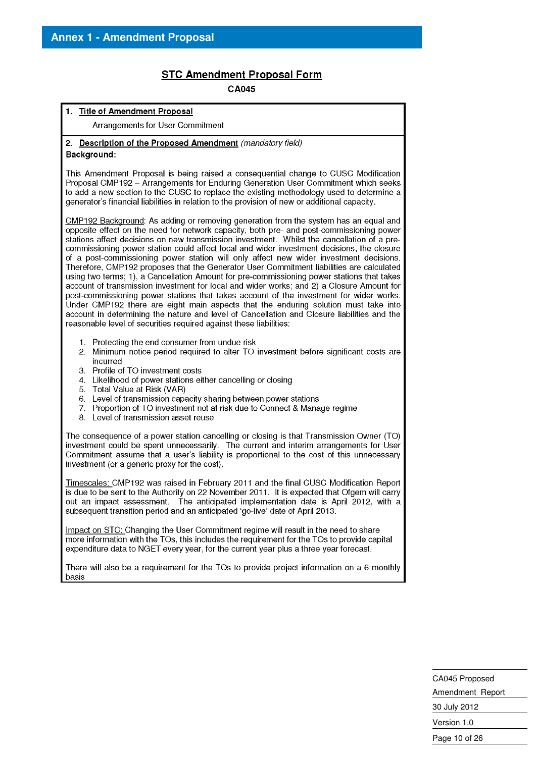#### **STC Amendment Proposal Form**

CA045

#### 1. Title of Amendment Proposal Arrangements for User Commitment 2. Description of the Proposed Amendment (mandatory field) Background: This Amendment Proposal is being raised a consequential change to CUSC Modification Proposal CMP192 - Arrangements for Enduring Generation User Commitment which seeks to add a new section to the CUSC to replace the existing methodology used to determine a generator's financial liabilities in relation to the provision of new or additional capacity. CMP192 Background: As adding or removing generation from the system has an equal and opposite effect on the need for network capacity, both pre- and post-commissioning power stations affect decisions on new transmission investment. Whilst the cancellation of a precommissioning power station could affect local and wider investment decisions, the closure of a post-commissioning power station will only affect new wider investment decisions. Therefore, CMP192 proposes that the Generator User Commitment liabilities are calculated using two terms; 1), a Cancellation Amount for pre-commissioning power stations that takes account of transmission investment for local and wider works: and 2) a Closure Amount for post-commissioning power stations that takes account of the investment for wider works. Under CMP192 there are eight main aspects that the enduring solution must take into account in determining the nature and level of Cancellation and Closure liabilities and the reasonable level of securities required against these liabilities: 1. Protecting the end consumer from undue risk 2. Minimum notice period required to alter TO investment before significant costs are incurred 3. Profile of TO investment costs 4. Likelihood of power stations either cancelling or closing 5. Total Value at Risk (VAR) Level of transmission capacity sharing between power stations 6. 7. Proportion of TO investment not at risk due to Connect & Manage regime 8. Level of transmission asset reuse The consequence of a power station cancelling or closing is that Transmission Owner (TO) investment could be spent unnecessarily. The current and interim arrangements for User Commitment assume that a user's liability is proportional to the cost of this unnecessary investment (or a generic proxy for the cost). Timescales: CMP192 was raised in February 2011 and the final CUSC Modification Report is due to be sent to the Authority on 22 November 2011. It is expected that Ofgem will carry out an impact assessment. The anticipated implementation date is April 2012, with a subsequent transition period and an anticipated 'go-live' date of April 2013. Impact on STC; Changing the User Commitment regime will result in the need to share more information with the TOs, this includes the requirement for the TOs to provide capital expenditure data to NGET every year, for the current year plus a three year forecast. There will also be a requirement for the TOs to provide project information on a 6 monthly basis

CA045 Proposed Amendment Report 30 July 2012 Version 1.0 Page 10 of 26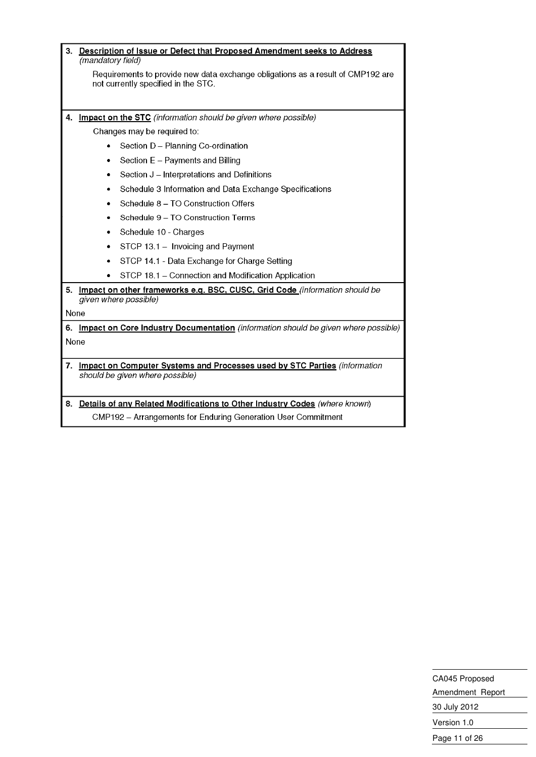| 3.         | Description of Issue or Defect that Proposed Amendment seeks to Address<br>(mandatory field)                           |                                                                                    |  |
|------------|------------------------------------------------------------------------------------------------------------------------|------------------------------------------------------------------------------------|--|
|            | Requirements to provide new data exchange obligations as a result of CMP192 are<br>not currently specified in the STC. |                                                                                    |  |
|            |                                                                                                                        |                                                                                    |  |
| 4.         |                                                                                                                        | Impact on the STC (information should be given where possible)                     |  |
|            |                                                                                                                        | Changes may be required to:                                                        |  |
|            |                                                                                                                        | Section D - Planning Co-ordination                                                 |  |
|            | ٠                                                                                                                      | Section E - Payments and Billing                                                   |  |
|            | ٠                                                                                                                      | Section J - Interpretations and Definitions                                        |  |
|            | ٠                                                                                                                      | Schedule 3 Information and Data Exchange Specifications                            |  |
|            |                                                                                                                        | Schedule 8 - TO Construction Offers                                                |  |
|            |                                                                                                                        | Schedule 9 - TO Construction Terms                                                 |  |
|            | ٠                                                                                                                      | Schedule 10 - Charges                                                              |  |
|            | ٠                                                                                                                      | STCP 13.1 - Invoicing and Payment                                                  |  |
|            | ٠                                                                                                                      | STCP 14.1 - Data Exchange for Charge Setting                                       |  |
|            |                                                                                                                        | STCP 18.1 - Connection and Modification Application                                |  |
| 5.         |                                                                                                                        | Impact on other frameworks e.g. BSC, CUSC, Grid Code (information should be        |  |
|            |                                                                                                                        | given where possible)                                                              |  |
| None       |                                                                                                                        |                                                                                    |  |
| 6.<br>None |                                                                                                                        | Impact on Core Industry Documentation (information should be given where possible) |  |
|            |                                                                                                                        |                                                                                    |  |
| 7.         | Impact on Computer Systems and Processes used by STC Parties (information<br>should be given where possible)           |                                                                                    |  |
|            |                                                                                                                        | 8. Details of any Related Modifications to Other Industry Codes (where known)      |  |
|            | CMP192 - Arrangements for Enduring Generation User Commitment                                                          |                                                                                    |  |

CA045 Proposed Amendment Report 30 July 2012 Version 1.0 Page 11 of 26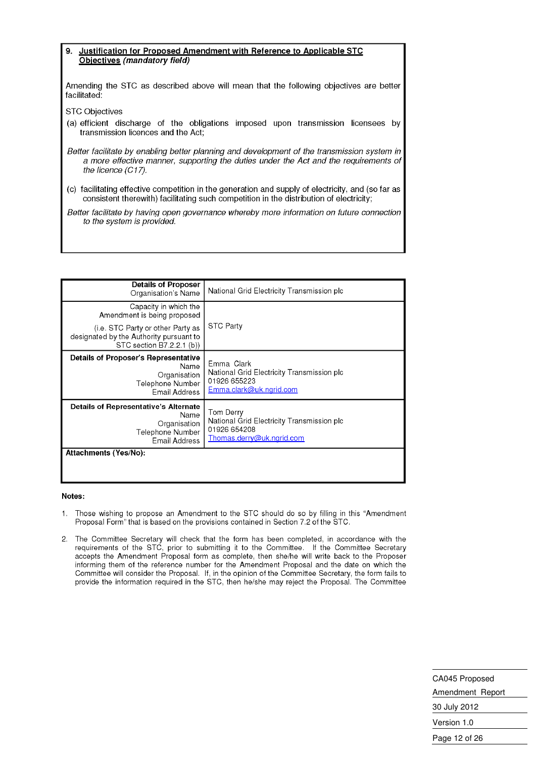#### Justification for Proposed Amendment with Reference to Applicable STC 9. Objectives (mandatory field)

Amending the STC as described above will mean that the following objectives are better facilitated:

**STC Objectives** 

(a) efficient discharge of the obligations imposed upon transmission licensees by transmission licences and the Act;

Better facilitate by enabling better planning and development of the transmission system in a more effective manner, supporting the duties under the Act and the requirements of the licence (C17).

(c) facilitating effective competition in the generation and supply of electricity, and (so far as consistent therewith) facilitating such competition in the distribution of electricity;

Better facilitate by having open governance whereby more information on future connection to the system is provided.

| <b>Details of Proposer</b><br>Organisation's Name                                                               | National Grid Electricity Transmission plc                                                           |
|-----------------------------------------------------------------------------------------------------------------|------------------------------------------------------------------------------------------------------|
| Capacity in which the<br>Amendment is being proposed                                                            |                                                                                                      |
| (i.e. STC Party or other Party as<br>designated by the Authority pursuant to<br>STC section B7.2.2.1 (b))       | <b>STC Party</b>                                                                                     |
| <b>Details of Proposer's Representative</b><br>Name<br>Organisation<br>Telephone Number<br><b>Email Address</b> | Emma Clark<br>National Grid Electricity Transmission plc<br>01926 655223<br>Emma.clark@uk.ngrid.com  |
| Details of Representative's Alternate<br>Name<br>Organisation<br>Telephone Number<br>Email Address              | Tom Derrv<br>National Grid Electricity Transmission plc<br>01926 654208<br>Thomas.derry@uk.ngrid.com |
| Attachments (Yes/No):                                                                                           |                                                                                                      |

#### Notes:

- Those wishing to propose an Amendment to the STC should do so by filling in this "Amendment  $\mathbf{1}$ Proposal Form" that is based on the provisions contained in Section 7.2 of the STC.
- 2. The Committee Secretary will check that the form has been completed, in accordance with the requirements of the STC, prior to submitting it to the Committee. If the Committee Secretary accepts the Amendment Proposal form as complete, then she/he will write back to the Proposer informing them of the reference number for the Amendment Proposal and the date on which the Committee will consider the Proposal. If, in the opinion of the Committee Secretary, the form fails to provide the information required in the STC, then he/she may reject the Proposal. The Committee

CA045 Proposed Amendment Report 30 July 2012 Version 1.0 Page 12 of 26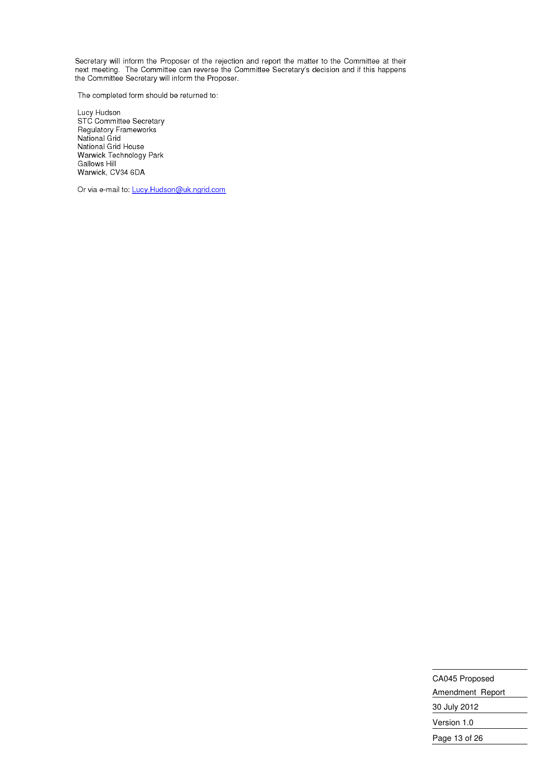Secretary will inform the Proposer of the rejection and report the matter to the Committee at their next meeting. The Committee can reverse the Committee Secretary's decision and if this happens<br>the Committee Secretary will inform the Proposer.

The completed form should be returned to:

Lucy Hudson<br>STC Committee Secretary<br>Regulatory Frameworks<br>National Grid National Grid House Warwick Technology Park **Gallows Hill** Warwick, CV34 6DA

Or via e-mail to: Lucy.Hudson@uk.ngrid.com

CA045 Proposed Amendment Report 30 July 2012 Version 1.0 Page 13 of 26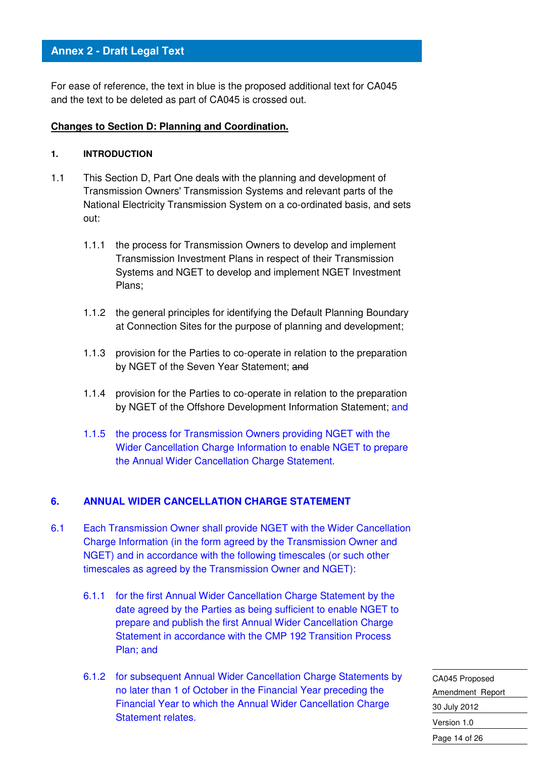For ease of reference, the text in blue is the proposed additional text for CA045 and the text to be deleted as part of CA045 is crossed out.

#### **Changes to Section D: Planning and Coordination.**

#### **1. INTRODUCTION**

- 1.1 This Section D, Part One deals with the planning and development of Transmission Owners' Transmission Systems and relevant parts of the National Electricity Transmission System on a co-ordinated basis, and sets out:
	- 1.1.1 the process for Transmission Owners to develop and implement Transmission Investment Plans in respect of their Transmission Systems and NGET to develop and implement NGET Investment Plans;
	- 1.1.2 the general principles for identifying the Default Planning Boundary at Connection Sites for the purpose of planning and development;
	- 1.1.3 provision for the Parties to co-operate in relation to the preparation by NGET of the Seven Year Statement; and
	- 1.1.4 provision for the Parties to co-operate in relation to the preparation by NGET of the Offshore Development Information Statement; and
	- 1.1.5 the process for Transmission Owners providing NGET with the Wider Cancellation Charge Information to enable NGET to prepare the Annual Wider Cancellation Charge Statement.

#### **6. ANNUAL WIDER CANCELLATION CHARGE STATEMENT**

- 6.1 Each Transmission Owner shall provide NGET with the Wider Cancellation Charge Information (in the form agreed by the Transmission Owner and NGET) and in accordance with the following timescales (or such other timescales as agreed by the Transmission Owner and NGET):
	- 6.1.1 for the first Annual Wider Cancellation Charge Statement by the date agreed by the Parties as being sufficient to enable NGET to prepare and publish the first Annual Wider Cancellation Charge Statement in accordance with the CMP 192 Transition Process Plan; and
	- 6.1.2 for subsequent Annual Wider Cancellation Charge Statements by no later than 1 of October in the Financial Year preceding the Financial Year to which the Annual Wider Cancellation Charge Statement relates.

CA045 Proposed Amendment Report 30 July 2012 Version 1.0 Page 14 of 26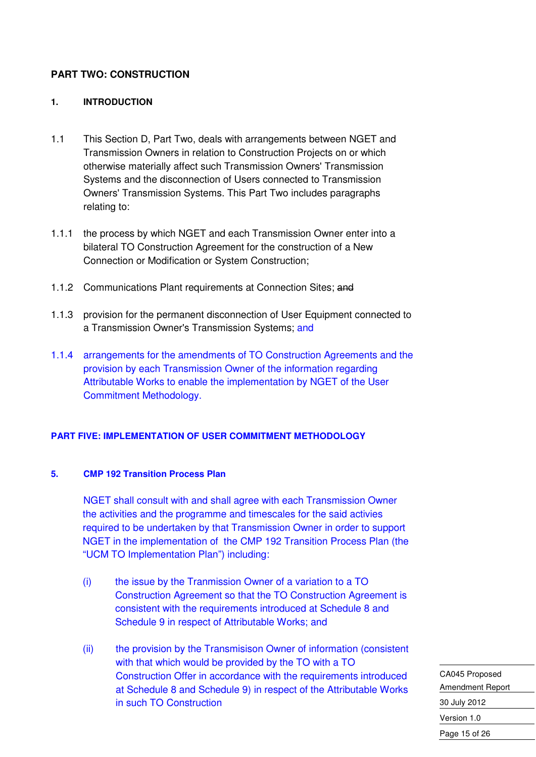#### **PART TWO: CONSTRUCTION**

#### **1. INTRODUCTION**

- 1.1 This Section D, Part Two, deals with arrangements between NGET and Transmission Owners in relation to Construction Projects on or which otherwise materially affect such Transmission Owners' Transmission Systems and the disconnection of Users connected to Transmission Owners' Transmission Systems. This Part Two includes paragraphs relating to:
- 1.1.1 the process by which NGET and each Transmission Owner enter into a bilateral TO Construction Agreement for the construction of a New Connection or Modification or System Construction;
- 1.1.2 Communications Plant requirements at Connection Sites; and
- 1.1.3 provision for the permanent disconnection of User Equipment connected to a Transmission Owner's Transmission Systems; and
- 1.1.4 arrangements for the amendments of TO Construction Agreements and the provision by each Transmission Owner of the information regarding Attributable Works to enable the implementation by NGET of the User Commitment Methodology.

#### **PART FIVE: IMPLEMENTATION OF USER COMMITMENT METHODOLOGY**

#### **5. CMP 192 Transition Process Plan**

NGET shall consult with and shall agree with each Transmission Owner the activities and the programme and timescales for the said activies required to be undertaken by that Transmission Owner in order to support NGET in the implementation of the CMP 192 Transition Process Plan (the "UCM TO Implementation Plan") including:

- (i) the issue by the Tranmission Owner of a variation to a TO Construction Agreement so that the TO Construction Agreement is consistent with the requirements introduced at Schedule 8 and Schedule 9 in respect of Attributable Works; and
- (ii) the provision by the Transmisison Owner of information (consistent with that which would be provided by the TO with a TO Construction Offer in accordance with the requirements introduced at Schedule 8 and Schedule 9) in respect of the Attributable Works in such TO Construction

CA045 Proposed Amendment Report 30 July 2012 Version 1.0 Page 15 of 26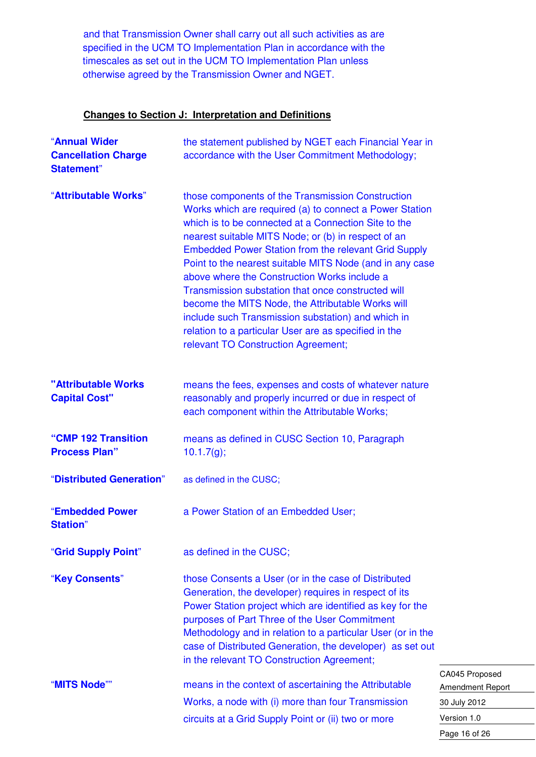and that Transmission Owner shall carry out all such activities as are specified in the UCM TO Implementation Plan in accordance with the timescales as set out in the UCM TO Implementation Plan unless otherwise agreed by the Transmission Owner and NGET.

#### **Changes to Section J: Interpretation and Definitions**

| "Annual Wider<br><b>Cancellation Charge</b><br><b>Statement</b> " | the statement published by NGET each Financial Year in<br>accordance with the User Commitment Methodology;                                                                                                                                                                                                                                                                                                                                                                                                                                                                                                                                                       |
|-------------------------------------------------------------------|------------------------------------------------------------------------------------------------------------------------------------------------------------------------------------------------------------------------------------------------------------------------------------------------------------------------------------------------------------------------------------------------------------------------------------------------------------------------------------------------------------------------------------------------------------------------------------------------------------------------------------------------------------------|
| "Attributable Works"                                              | those components of the Transmission Construction<br>Works which are required (a) to connect a Power Station<br>which is to be connected at a Connection Site to the<br>nearest suitable MITS Node; or (b) in respect of an<br>Embedded Power Station from the relevant Grid Supply<br>Point to the nearest suitable MITS Node (and in any case<br>above where the Construction Works include a<br>Transmission substation that once constructed will<br>become the MITS Node, the Attributable Works will<br>include such Transmission substation) and which in<br>relation to a particular User are as specified in the<br>relevant TO Construction Agreement; |
| "Attributable Works<br><b>Capital Cost"</b>                       | means the fees, expenses and costs of whatever nature<br>reasonably and properly incurred or due in respect of<br>each component within the Attributable Works;                                                                                                                                                                                                                                                                                                                                                                                                                                                                                                  |
| "CMP 192 Transition<br><b>Process Plan"</b>                       | means as defined in CUSC Section 10, Paragraph<br>10.1.7(g);                                                                                                                                                                                                                                                                                                                                                                                                                                                                                                                                                                                                     |
| "Distributed Generation"                                          | as defined in the CUSC;                                                                                                                                                                                                                                                                                                                                                                                                                                                                                                                                                                                                                                          |
| "Embedded Power<br><b>Station</b> "                               | a Power Station of an Embedded User;                                                                                                                                                                                                                                                                                                                                                                                                                                                                                                                                                                                                                             |
| "Grid Supply Point"                                               | as defined in the CUSC;                                                                                                                                                                                                                                                                                                                                                                                                                                                                                                                                                                                                                                          |
| "Key Consents"                                                    | those Consents a User (or in the case of Distributed<br>Generation, the developer) requires in respect of its<br>Power Station project which are identified as key for the<br>purposes of Part Three of the User Commitment<br>Methodology and in relation to a particular User (or in the<br>case of Distributed Generation, the developer) as set out<br>in the relevant TO Construction Agreement;                                                                                                                                                                                                                                                            |
| "MITS Node""                                                      | C/<br>means in the context of ascertaining the Attributable<br>Ar<br>Works, a node with (i) more than four Transmission<br>30<br>circuits at a Grid Supply Point or (ii) two or more<br>Ve                                                                                                                                                                                                                                                                                                                                                                                                                                                                       |

A045 Proposed mendment Report July 2012 ersion 1.0 Page 16 of 26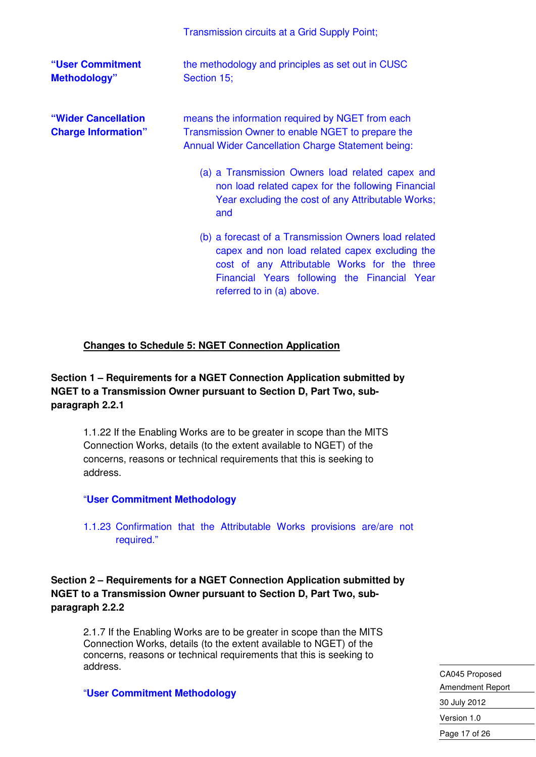|                                                   | Transmission circuits at a Grid Supply Point;                                                                                                                                                                                       |
|---------------------------------------------------|-------------------------------------------------------------------------------------------------------------------------------------------------------------------------------------------------------------------------------------|
| "User Commitment<br><b>Methodology"</b>           | the methodology and principles as set out in CUSC<br>Section 15;                                                                                                                                                                    |
| "Wider Cancellation<br><b>Charge Information"</b> | means the information required by NGET from each<br>Transmission Owner to enable NGET to prepare the<br><b>Annual Wider Cancellation Charge Statement being:</b>                                                                    |
|                                                   | (a) a Transmission Owners load related capex and<br>non load related capex for the following Financial<br>Year excluding the cost of any Attributable Works;<br>and                                                                 |
|                                                   | (b) a forecast of a Transmission Owners load related<br>capex and non load related capex excluding the<br>cost of any Attributable Works for the three<br>Financial Years following the Financial Year<br>referred to in (a) above. |

#### **Changes to Schedule 5: NGET Connection Application**

#### **Section 1 – Requirements for a NGET Connection Application submitted by NGET to a Transmission Owner pursuant to Section D, Part Two, subparagraph 2.2.1**

1.1.22 If the Enabling Works are to be greater in scope than the MITS Connection Works, details (to the extent available to NGET) of the concerns, reasons or technical requirements that this is seeking to address.

#### "**User Commitment Methodology**

1.1.23 Confirmation that the Attributable Works provisions are/are not required."

**Section 2 – Requirements for a NGET Connection Application submitted by NGET to a Transmission Owner pursuant to Section D, Part Two, subparagraph 2.2.2** 

2.1.7 If the Enabling Works are to be greater in scope than the MITS Connection Works, details (to the extent available to NGET) of the concerns, reasons or technical requirements that this is seeking to address.

"**User Commitment Methodology**

CA045 Proposed Amendment Report 30 July 2012 Version 1.0 Page 17 of 26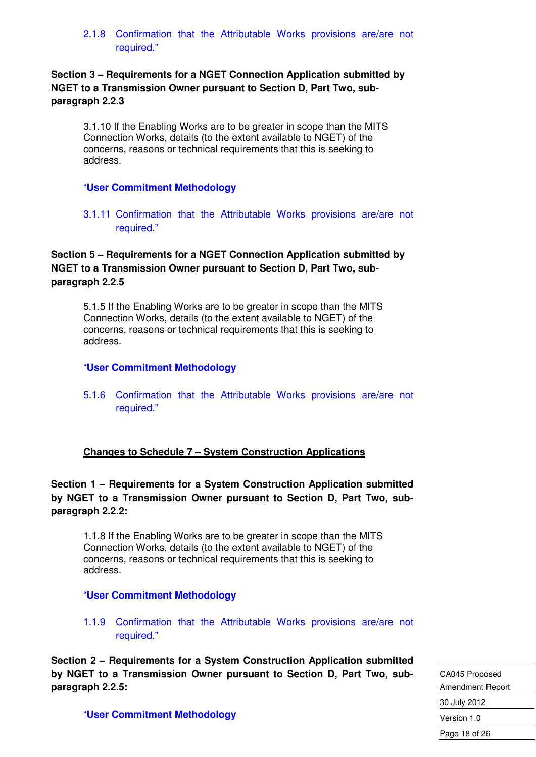2.1.8 Confirmation that the Attributable Works provisions are/are not required."

**Section 3 – Requirements for a NGET Connection Application submitted by NGET to a Transmission Owner pursuant to Section D, Part Two, subparagraph 2.2.3** 

3.1.10 If the Enabling Works are to be greater in scope than the MITS Connection Works, details (to the extent available to NGET) of the concerns, reasons or technical requirements that this is seeking to address.

#### "**User Commitment Methodology**

3.1.11 Confirmation that the Attributable Works provisions are/are not required."

#### **Section 5 – Requirements for a NGET Connection Application submitted by NGET to a Transmission Owner pursuant to Section D, Part Two, subparagraph 2.2.5**

5.1.5 If the Enabling Works are to be greater in scope than the MITS Connection Works, details (to the extent available to NGET) of the concerns, reasons or technical requirements that this is seeking to address.

#### "**User Commitment Methodology**

5.1.6 Confirmation that the Attributable Works provisions are/are not required."

#### **Changes to Schedule 7 – System Construction Applications**

#### **Section 1 – Requirements for a System Construction Application submitted by NGET to a Transmission Owner pursuant to Section D, Part Two, subparagraph 2.2.2:**

1.1.8 If the Enabling Works are to be greater in scope than the MITS Connection Works, details (to the extent available to NGET) of the concerns, reasons or technical requirements that this is seeking to address.

#### "**User Commitment Methodology**

1.1.9 Confirmation that the Attributable Works provisions are/are not required."

**Section 2 – Requirements for a System Construction Application submitted by NGET to a Transmission Owner pursuant to Section D, Part Two, subparagraph 2.2.5:** 

CA045 Proposed Amendment Report 30 July 2012 Version 1.0 Page 18 of 26

"**User Commitment Methodology**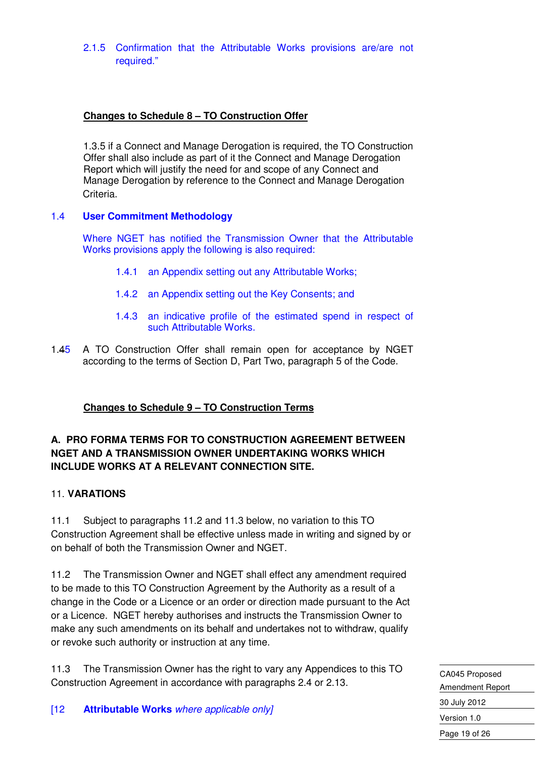2.1.5 Confirmation that the Attributable Works provisions are/are not required."

#### **Changes to Schedule 8 – TO Construction Offer**

1.3.5 if a Connect and Manage Derogation is required, the TO Construction Offer shall also include as part of it the Connect and Manage Derogation Report which will justify the need for and scope of any Connect and Manage Derogation by reference to the Connect and Manage Derogation Criteria.

#### 1.4 **User Commitment Methodology**

 Where NGET has notified the Transmission Owner that the Attributable Works provisions apply the following is also required:

- 1.4.1 an Appendix setting out any Attributable Works;
- 1.4.2 an Appendix setting out the Key Consents; and
- 1.4.3 an indicative profile of the estimated spend in respect of such Attributable Works.
- 1.45 A TO Construction Offer shall remain open for acceptance by NGET according to the terms of Section D, Part Two, paragraph 5 of the Code.

#### **Changes to Schedule 9 – TO Construction Terms**

#### **A. PRO FORMA TERMS FOR TO CONSTRUCTION AGREEMENT BETWEEN NGET AND A TRANSMISSION OWNER UNDERTAKING WORKS WHICH INCLUDE WORKS AT A RELEVANT CONNECTION SITE.**

#### 11. **VARATIONS**

11.1 Subject to paragraphs 11.2 and 11.3 below, no variation to this TO Construction Agreement shall be effective unless made in writing and signed by or on behalf of both the Transmission Owner and NGET.

11.2 The Transmission Owner and NGET shall effect any amendment required to be made to this TO Construction Agreement by the Authority as a result of a change in the Code or a Licence or an order or direction made pursuant to the Act or a Licence. NGET hereby authorises and instructs the Transmission Owner to make any such amendments on its behalf and undertakes not to withdraw, qualify or revoke such authority or instruction at any time.

11.3 The Transmission Owner has the right to vary any Appendices to this TO Construction Agreement in accordance with paragraphs 2.4 or 2.13.

CA045 Proposed Amendment Report 30 July 2012 Version 1.0 Page 19 of 26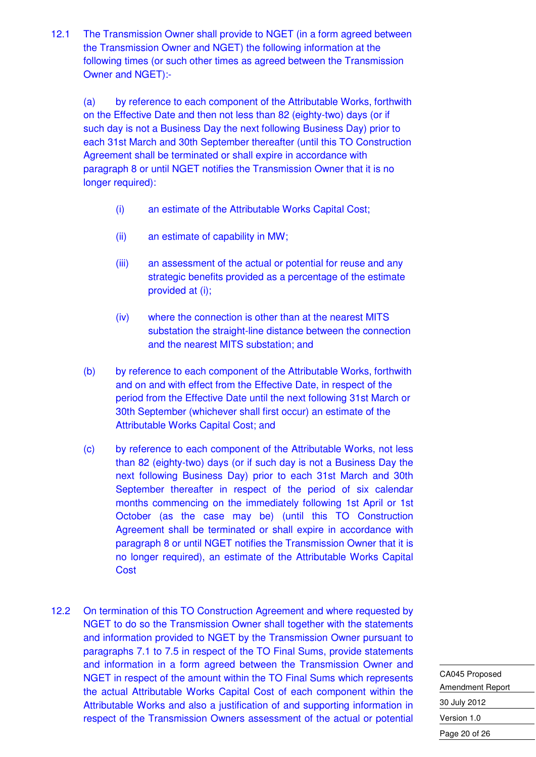12.1 The Transmission Owner shall provide to NGET (in a form agreed between the Transmission Owner and NGET) the following information at the following times (or such other times as agreed between the Transmission Owner and NGET):-

(a) by reference to each component of the Attributable Works, forthwith on the Effective Date and then not less than 82 (eighty-two) days (or if such day is not a Business Day the next following Business Day) prior to each 31st March and 30th September thereafter (until this TO Construction Agreement shall be terminated or shall expire in accordance with paragraph 8 or until NGET notifies the Transmission Owner that it is no longer required):

- (i) an estimate of the Attributable Works Capital Cost;
- (ii) an estimate of capability in MW;
- (iii) an assessment of the actual or potential for reuse and any strategic benefits provided as a percentage of the estimate provided at (i);
- (iv) where the connection is other than at the nearest MITS substation the straight-line distance between the connection and the nearest MITS substation; and
- (b) by reference to each component of the Attributable Works, forthwith and on and with effect from the Effective Date, in respect of the period from the Effective Date until the next following 31st March or 30th September (whichever shall first occur) an estimate of the Attributable Works Capital Cost; and
- (c) by reference to each component of the Attributable Works, not less than 82 (eighty-two) days (or if such day is not a Business Day the next following Business Day) prior to each 31st March and 30th September thereafter in respect of the period of six calendar months commencing on the immediately following 1st April or 1st October (as the case may be) (until this TO Construction Agreement shall be terminated or shall expire in accordance with paragraph 8 or until NGET notifies the Transmission Owner that it is no longer required), an estimate of the Attributable Works Capital **Cost**
- 12.2 On termination of this TO Construction Agreement and where requested by NGET to do so the Transmission Owner shall together with the statements and information provided to NGET by the Transmission Owner pursuant to paragraphs 7.1 to 7.5 in respect of the TO Final Sums, provide statements and information in a form agreed between the Transmission Owner and NGET in respect of the amount within the TO Final Sums which represents the actual Attributable Works Capital Cost of each component within the Attributable Works and also a justification of and supporting information in respect of the Transmission Owners assessment of the actual or potential

CA045 Proposed Amendment Report 30 July 2012 Version 1.0 Page 20 of 26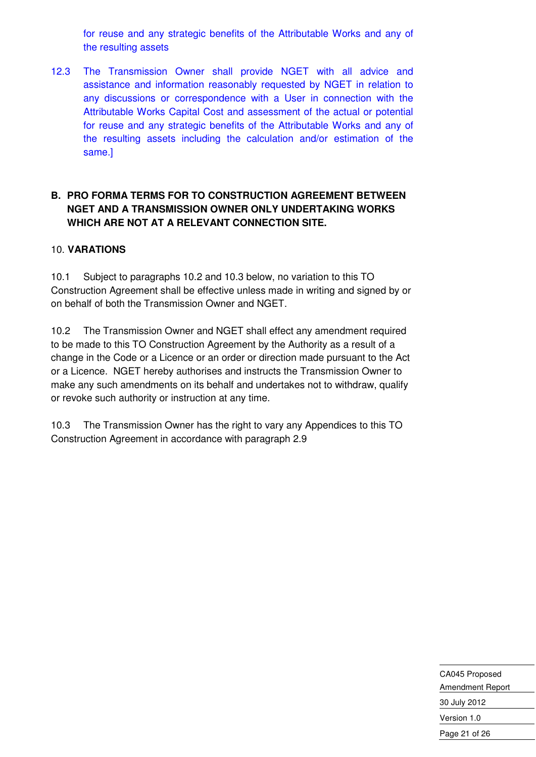for reuse and any strategic benefits of the Attributable Works and any of the resulting assets

12.3 The Transmission Owner shall provide NGET with all advice and assistance and information reasonably requested by NGET in relation to any discussions or correspondence with a User in connection with the Attributable Works Capital Cost and assessment of the actual or potential for reuse and any strategic benefits of the Attributable Works and any of the resulting assets including the calculation and/or estimation of the same.]

#### **B. PRO FORMA TERMS FOR TO CONSTRUCTION AGREEMENT BETWEEN NGET AND A TRANSMISSION OWNER ONLY UNDERTAKING WORKS WHICH ARE NOT AT A RELEVANT CONNECTION SITE.**

#### 10. **VARATIONS**

10.1 Subject to paragraphs 10.2 and 10.3 below, no variation to this TO Construction Agreement shall be effective unless made in writing and signed by or on behalf of both the Transmission Owner and NGET.

10.2 The Transmission Owner and NGET shall effect any amendment required to be made to this TO Construction Agreement by the Authority as a result of a change in the Code or a Licence or an order or direction made pursuant to the Act or a Licence. NGET hereby authorises and instructs the Transmission Owner to make any such amendments on its behalf and undertakes not to withdraw, qualify or revoke such authority or instruction at any time.

10.3 The Transmission Owner has the right to vary any Appendices to this TO Construction Agreement in accordance with paragraph 2.9

> CA045 Proposed Amendment Report 30 July 2012 Version 1.0 Page 21 of 26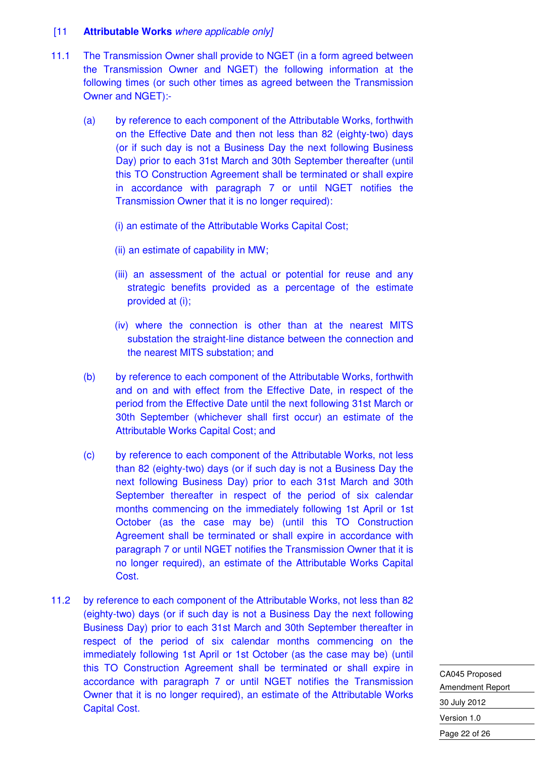#### [11 **Attributable Works** where applicable only]

- 11.1 The Transmission Owner shall provide to NGET (in a form agreed between the Transmission Owner and NGET) the following information at the following times (or such other times as agreed between the Transmission Owner and NGET):-
	- (a) by reference to each component of the Attributable Works, forthwith on the Effective Date and then not less than 82 (eighty-two) days (or if such day is not a Business Day the next following Business Day) prior to each 31st March and 30th September thereafter (until this TO Construction Agreement shall be terminated or shall expire in accordance with paragraph 7 or until NGET notifies the Transmission Owner that it is no longer required):
		- (i) an estimate of the Attributable Works Capital Cost;
		- (ii) an estimate of capability in MW;
		- (iii) an assessment of the actual or potential for reuse and any strategic benefits provided as a percentage of the estimate provided at (i);
		- (iv) where the connection is other than at the nearest MITS substation the straight-line distance between the connection and the nearest MITS substation; and
	- (b) by reference to each component of the Attributable Works, forthwith and on and with effect from the Effective Date, in respect of the period from the Effective Date until the next following 31st March or 30th September (whichever shall first occur) an estimate of the Attributable Works Capital Cost; and
	- (c) by reference to each component of the Attributable Works, not less than 82 (eighty-two) days (or if such day is not a Business Day the next following Business Day) prior to each 31st March and 30th September thereafter in respect of the period of six calendar months commencing on the immediately following 1st April or 1st October (as the case may be) (until this TO Construction Agreement shall be terminated or shall expire in accordance with paragraph 7 or until NGET notifies the Transmission Owner that it is no longer required), an estimate of the Attributable Works Capital Cost.
- 11.2 by reference to each component of the Attributable Works, not less than 82 (eighty-two) days (or if such day is not a Business Day the next following Business Day) prior to each 31st March and 30th September thereafter in respect of the period of six calendar months commencing on the immediately following 1st April or 1st October (as the case may be) (until this TO Construction Agreement shall be terminated or shall expire in accordance with paragraph 7 or until NGET notifies the Transmission Owner that it is no longer required), an estimate of the Attributable Works Capital Cost.

CA045 Proposed Amendment Report 30 July 2012 Version 1.0 Page 22 of 26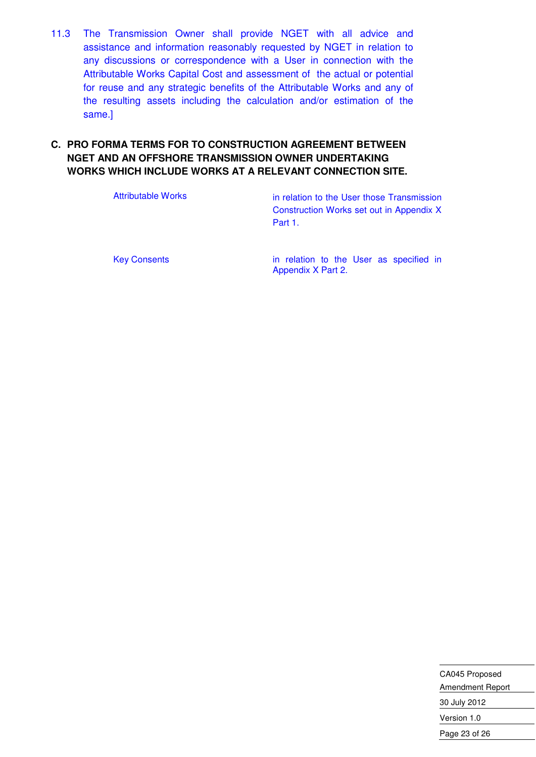11.3 The Transmission Owner shall provide NGET with all advice and assistance and information reasonably requested by NGET in relation to any discussions or correspondence with a User in connection with the Attributable Works Capital Cost and assessment of the actual or potential for reuse and any strategic benefits of the Attributable Works and any of the resulting assets including the calculation and/or estimation of the same.]

#### **C. PRO FORMA TERMS FOR TO CONSTRUCTION AGREEMENT BETWEEN NGET AND AN OFFSHORE TRANSMISSION OWNER UNDERTAKING WORKS WHICH INCLUDE WORKS AT A RELEVANT CONNECTION SITE.**

Attributable Works **in relation to the User those Transmission** Construction Works set out in Appendix X Part 1.

Key Consents **in relation to the User as specified in** Appendix X Part 2.

> CA045 Proposed Amendment Report 30 July 2012 Version 1.0 Page 23 of 26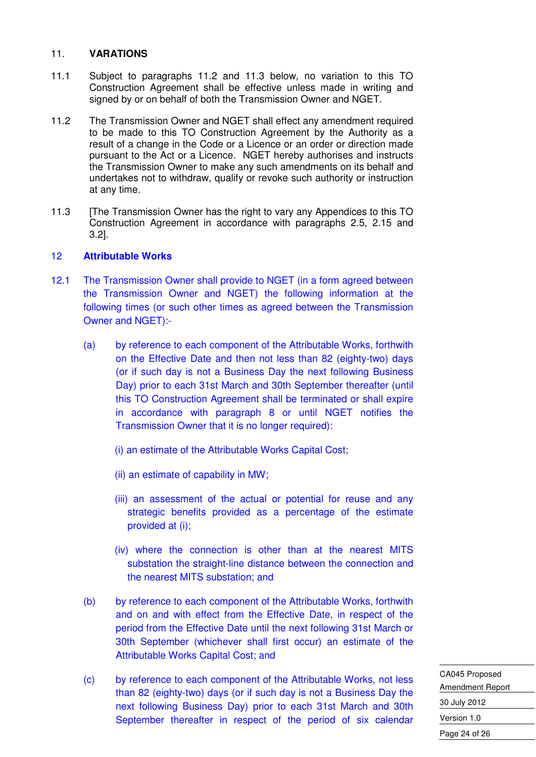#### 11. **VARATIONS**

- 11.1 Subject to paragraphs 11.2 and 11.3 below, no variation to this TO Construction Agreement shall be effective unless made in writing and signed by or on behalf of both the Transmission Owner and NGET.
- 11.2 The Transmission Owner and NGET shall effect any amendment required to be made to this TO Construction Agreement by the Authority as a result of a change in the Code or a Licence or an order or direction made pursuant to the Act or a Licence. NGET hereby authorises and instructs the Transmission Owner to make any such amendments on its behalf and undertakes not to withdraw, qualify or revoke such authority or instruction at any time.
- 11.3 **IThe Transmission Owner has the right to vary any Appendices to this TO** Construction Agreement in accordance with paragraphs 2.5, 2.15 and 3.2].

#### 12 **Attributable Works**

- 12.1 The Transmission Owner shall provide to NGET (in a form agreed between the Transmission Owner and NGET) the following information at the following times (or such other times as agreed between the Transmission Owner and NGET):-
	- (a) by reference to each component of the Attributable Works, forthwith on the Effective Date and then not less than 82 (eighty-two) days (or if such day is not a Business Day the next following Business Day) prior to each 31st March and 30th September thereafter (until this TO Construction Agreement shall be terminated or shall expire in accordance with paragraph 8 or until NGET notifies the Transmission Owner that it is no longer required):
		- (i) an estimate of the Attributable Works Capital Cost;
		- (ii) an estimate of capability in MW;
		- (iii) an assessment of the actual or potential for reuse and any strategic benefits provided as a percentage of the estimate provided at (i);
		- (iv) where the connection is other than at the nearest MITS substation the straight-line distance between the connection and the nearest MITS substation; and
	- (b) by reference to each component of the Attributable Works, forthwith and on and with effect from the Effective Date, in respect of the period from the Effective Date until the next following 31st March or 30th September (whichever shall first occur) an estimate of the Attributable Works Capital Cost; and
	- (c) by reference to each component of the Attributable Works, not less than 82 (eighty-two) days (or if such day is not a Business Day the next following Business Day) prior to each 31st March and 30th September thereafter in respect of the period of six calendar

CA045 Proposed Amendment Report 30 July 2012 Version 1.0 Page 24 of 26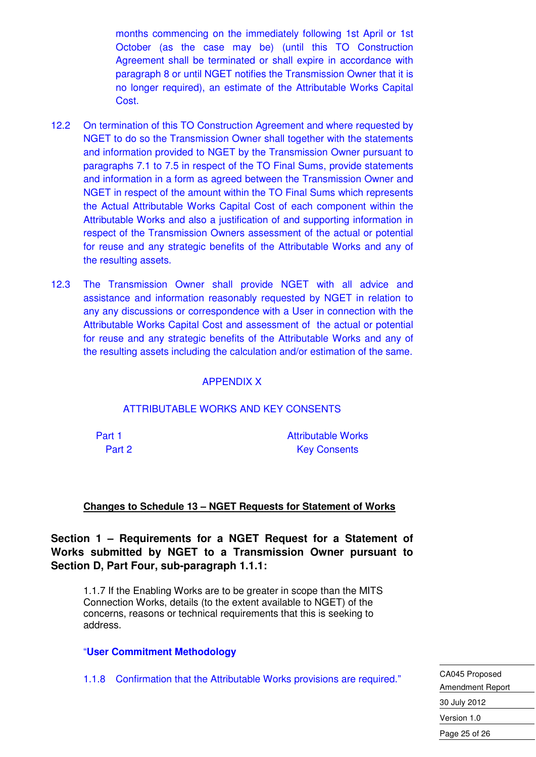months commencing on the immediately following 1st April or 1st October (as the case may be) (until this TO Construction Agreement shall be terminated or shall expire in accordance with paragraph 8 or until NGET notifies the Transmission Owner that it is no longer required), an estimate of the Attributable Works Capital Cost.

- 12.2 On termination of this TO Construction Agreement and where requested by NGET to do so the Transmission Owner shall together with the statements and information provided to NGET by the Transmission Owner pursuant to paragraphs 7.1 to 7.5 in respect of the TO Final Sums, provide statements and information in a form as agreed between the Transmission Owner and NGET in respect of the amount within the TO Final Sums which represents the Actual Attributable Works Capital Cost of each component within the Attributable Works and also a justification of and supporting information in respect of the Transmission Owners assessment of the actual or potential for reuse and any strategic benefits of the Attributable Works and any of the resulting assets.
- 12.3 The Transmission Owner shall provide NGET with all advice and assistance and information reasonably requested by NGET in relation to any any discussions or correspondence with a User in connection with the Attributable Works Capital Cost and assessment of the actual or potential for reuse and any strategic benefits of the Attributable Works and any of the resulting assets including the calculation and/or estimation of the same.

#### APPENDIX X

#### ATTRIBUTABLE WORKS AND KEY CONSENTS

Part 1 Attributable Works Part 2 Key Consents

#### **Changes to Schedule 13 – NGET Requests for Statement of Works**

**Section 1 – Requirements for a NGET Request for a Statement of Works submitted by NGET to a Transmission Owner pursuant to Section D, Part Four, sub-paragraph 1.1.1:** 

1.1.7 If the Enabling Works are to be greater in scope than the MITS Connection Works, details (to the extent available to NGET) of the concerns, reasons or technical requirements that this is seeking to address.

#### "**User Commitment Methodology**

1.1.8 Confirmation that the Attributable Works provisions are required."

CA045 Proposed Amendment Report 30 July 2012 Version 1.0 Page 25 of 26